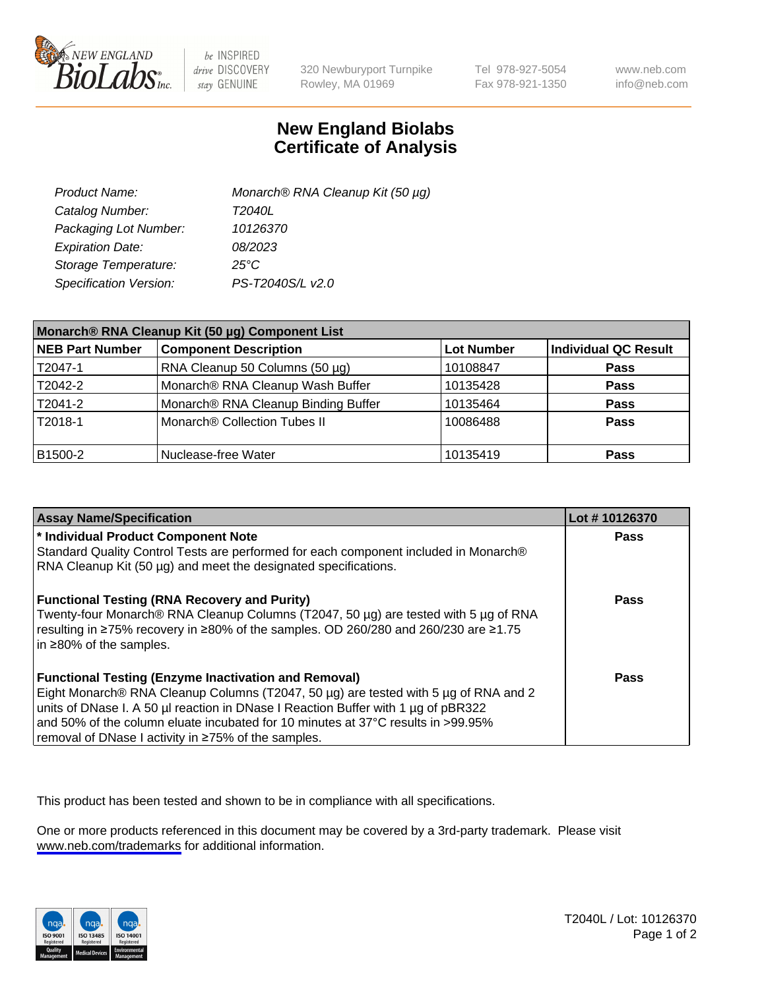

be INSPIRED drive DISCOVERY stay GENUINE

320 Newburyport Turnpike Rowley, MA 01969

Tel 978-927-5054 Fax 978-921-1350

www.neb.com info@neb.com

## **New England Biolabs Certificate of Analysis**

| Product Name:           | Monarch® RNA Cleanup Kit (50 µg) |
|-------------------------|----------------------------------|
| Catalog Number:         | T2040L                           |
| Packaging Lot Number:   | 10126370                         |
| <b>Expiration Date:</b> | 08/2023                          |
| Storage Temperature:    | $25^{\circ}$ C                   |
| Specification Version:  | PS-T2040S/L v2.0                 |

| Monarch® RNA Cleanup Kit (50 µg) Component List |                                     |                   |                      |
|-------------------------------------------------|-------------------------------------|-------------------|----------------------|
| <b>NEB Part Number</b>                          | <b>Component Description</b>        | <b>Lot Number</b> | Individual QC Result |
| T2047-1                                         | RNA Cleanup 50 Columns (50 µg)      | 10108847          | <b>Pass</b>          |
| T2042-2                                         | Monarch® RNA Cleanup Wash Buffer    | 10135428          | <b>Pass</b>          |
| T2041-2                                         | Monarch® RNA Cleanup Binding Buffer | 10135464          | Pass                 |
| T2018-1                                         | Monarch® Collection Tubes II        | 10086488          | <b>Pass</b>          |
| B1500-2                                         | Nuclease-free Water                 | 10135419          | <b>Pass</b>          |

| <b>Assay Name/Specification</b>                                                                                                                                                                                                                                                                                                                                                    | Lot #10126370 |
|------------------------------------------------------------------------------------------------------------------------------------------------------------------------------------------------------------------------------------------------------------------------------------------------------------------------------------------------------------------------------------|---------------|
| * Individual Product Component Note                                                                                                                                                                                                                                                                                                                                                | Pass          |
| Standard Quality Control Tests are performed for each component included in Monarch®<br>RNA Cleanup Kit (50 µg) and meet the designated specifications.                                                                                                                                                                                                                            |               |
| <b>Functional Testing (RNA Recovery and Purity)</b><br>Twenty-four Monarch® RNA Cleanup Columns (T2047, 50 µg) are tested with 5 µg of RNA<br>resulting in ≥75% recovery in ≥80% of the samples. OD 260/280 and 260/230 are ≥1.75<br>$\ln 280\%$ of the samples.                                                                                                                   | Pass          |
| <b>Functional Testing (Enzyme Inactivation and Removal)</b><br>Eight Monarch® RNA Cleanup Columns (T2047, 50 μg) are tested with 5 μg of RNA and 2<br>units of DNase I. A 50 µl reaction in DNase I Reaction Buffer with 1 µg of pBR322<br>and 50% of the column eluate incubated for 10 minutes at 37°C results in >99.95%<br>removal of DNase I activity in ≥75% of the samples. | <b>Pass</b>   |

This product has been tested and shown to be in compliance with all specifications.

One or more products referenced in this document may be covered by a 3rd-party trademark. Please visit <www.neb.com/trademarks>for additional information.